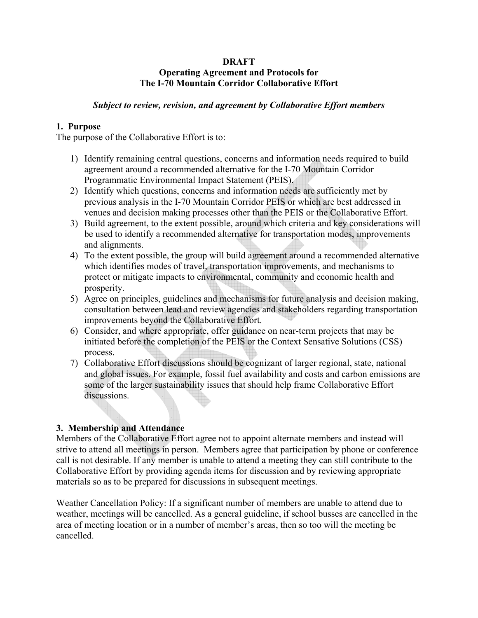#### **DRAFT Operating Agreement and Protocols for The I-70 Mountain Corridor Collaborative Effort**

### *Subject to review, revision, and agreement by Collaborative Effort members*

#### **1. Purpose**

The purpose of the Collaborative Effort is to:

- 1) Identify remaining central questions, concerns and information needs required to build agreement around a recommended alternative for the I-70 Mountain Corridor Programmatic Environmental Impact Statement (PEIS).
- 2) Identify which questions, concerns and information needs are sufficiently met by previous analysis in the I-70 Mountain Corridor PEIS or which are best addressed in venues and decision making processes other than the PEIS or the Collaborative Effort.
- 3) Build agreement, to the extent possible, around which criteria and key considerations will be used to identify a recommended alternative for transportation modes, improvements and alignments.
- 4) To the extent possible, the group will build agreement around a recommended alternative which identifies modes of travel, transportation improvements, and mechanisms to protect or mitigate impacts to environmental, community and economic health and prosperity.
- 5) Agree on principles, guidelines and mechanisms for future analysis and decision making, consultation between lead and review agencies and stakeholders regarding transportation improvements beyond the Collaborative Effort.
- 6) Consider, and where appropriate, offer guidance on near-term projects that may be initiated before the completion of the PEIS or the Context Sensative Solutions (CSS) process.
- 7) Collaborative Effort discussions should be cognizant of larger regional, state, national and global issues. For example, fossil fuel availability and costs and carbon emissions are some of the larger sustainability issues that should help frame Collaborative Effort discussions.

### **3. Membership and Attendance**

Members of the Collaborative Effort agree not to appoint alternate members and instead will strive to attend all meetings in person. Members agree that participation by phone or conference call is not desirable. If any member is unable to attend a meeting they can still contribute to the Collaborative Effort by providing agenda items for discussion and by reviewing appropriate materials so as to be prepared for discussions in subsequent meetings.

Weather Cancellation Policy: If a significant number of members are unable to attend due to weather, meetings will be cancelled. As a general guideline, if school busses are cancelled in the area of meeting location or in a number of member's areas, then so too will the meeting be cancelled.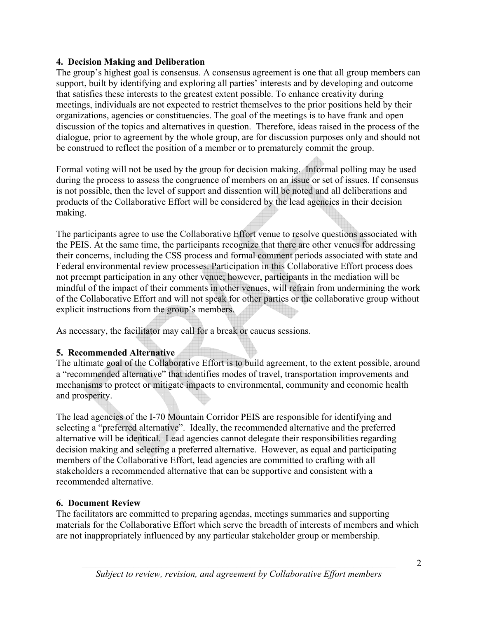### **4. Decision Making and Deliberation**

The group's highest goal is consensus. A consensus agreement is one that all group members can support, built by identifying and exploring all parties' interests and by developing and outcome that satisfies these interests to the greatest extent possible. To enhance creativity during meetings, individuals are not expected to restrict themselves to the prior positions held by their organizations, agencies or constituencies. The goal of the meetings is to have frank and open discussion of the topics and alternatives in question. Therefore, ideas raised in the process of the dialogue, prior to agreement by the whole group, are for discussion purposes only and should not be construed to reflect the position of a member or to prematurely commit the group.

Formal voting will not be used by the group for decision making. Informal polling may be used during the process to assess the congruence of members on an issue or set of issues. If consensus is not possible, then the level of support and dissention will be noted and all deliberations and products of the Collaborative Effort will be considered by the lead agencies in their decision making.

The participants agree to use the Collaborative Effort venue to resolve questions associated with the PEIS. At the same time, the participants recognize that there are other venues for addressing their concerns, including the CSS process and formal comment periods associated with state and Federal environmental review processes. Participation in this Collaborative Effort process does not preempt participation in any other venue; however, participants in the mediation will be mindful of the impact of their comments in other venues, will refrain from undermining the work of the Collaborative Effort and will not speak for other parties or the collaborative group without explicit instructions from the group's members.

As necessary, the facilitator may call for a break or caucus sessions.

## **5. Recommended Alternative**

The ultimate goal of the Collaborative Effort is to build agreement, to the extent possible, around a "recommended alternative" that identifies modes of travel, transportation improvements and mechanisms to protect or mitigate impacts to environmental, community and economic health and prosperity.

The lead agencies of the I-70 Mountain Corridor PEIS are responsible for identifying and selecting a "preferred alternative". Ideally, the recommended alternative and the preferred alternative will be identical. Lead agencies cannot delegate their responsibilities regarding decision making and selecting a preferred alternative. However, as equal and participating members of the Collaborative Effort, lead agencies are committed to crafting with all stakeholders a recommended alternative that can be supportive and consistent with a recommended alternative.

## **6. Document Review**

The facilitators are committed to preparing agendas, meetings summaries and supporting materials for the Collaborative Effort which serve the breadth of interests of members and which are not inappropriately influenced by any particular stakeholder group or membership.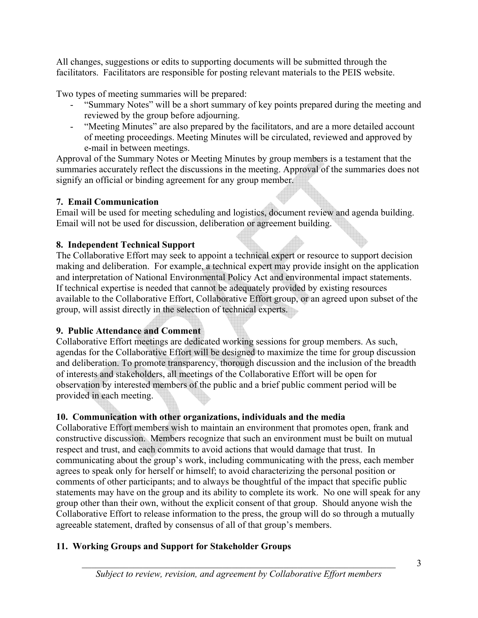All changes, suggestions or edits to supporting documents will be submitted through the facilitators. Facilitators are responsible for posting relevant materials to the PEIS website.

Two types of meeting summaries will be prepared:

- "Summary Notes" will be a short summary of key points prepared during the meeting and reviewed by the group before adjourning.
- "Meeting Minutes" are also prepared by the facilitators, and are a more detailed account of meeting proceedings. Meeting Minutes will be circulated, reviewed and approved by e-mail in between meetings.

Approval of the Summary Notes or Meeting Minutes by group members is a testament that the summaries accurately reflect the discussions in the meeting. Approval of the summaries does not signify an official or binding agreement for any group member.

## **7. Email Communication**

Email will be used for meeting scheduling and logistics, document review and agenda building. Email will not be used for discussion, deliberation or agreement building.

## **8. Independent Technical Support**

The Collaborative Effort may seek to appoint a technical expert or resource to support decision making and deliberation. For example, a technical expert may provide insight on the application and interpretation of National Environmental Policy Act and environmental impact statements. If technical expertise is needed that cannot be adequately provided by existing resources available to the Collaborative Effort, Collaborative Effort group, or an agreed upon subset of the group, will assist directly in the selection of technical experts.

# **9. Public Attendance and Comment**

Collaborative Effort meetings are dedicated working sessions for group members. As such, agendas for the Collaborative Effort will be designed to maximize the time for group discussion and deliberation. To promote transparency, thorough discussion and the inclusion of the breadth of interests and stakeholders, all meetings of the Collaborative Effort will be open for observation by interested members of the public and a brief public comment period will be provided in each meeting.

# **10. Communication with other organizations, individuals and the media**

Collaborative Effort members wish to maintain an environment that promotes open, frank and constructive discussion. Members recognize that such an environment must be built on mutual respect and trust, and each commits to avoid actions that would damage that trust. In communicating about the group's work, including communicating with the press, each member agrees to speak only for herself or himself; to avoid characterizing the personal position or comments of other participants; and to always be thoughtful of the impact that specific public statements may have on the group and its ability to complete its work. No one will speak for any group other than their own, without the explicit consent of that group. Should anyone wish the Collaborative Effort to release information to the press, the group will do so through a mutually agreeable statement, drafted by consensus of all of that group's members.

# **11. Working Groups and Support for Stakeholder Groups**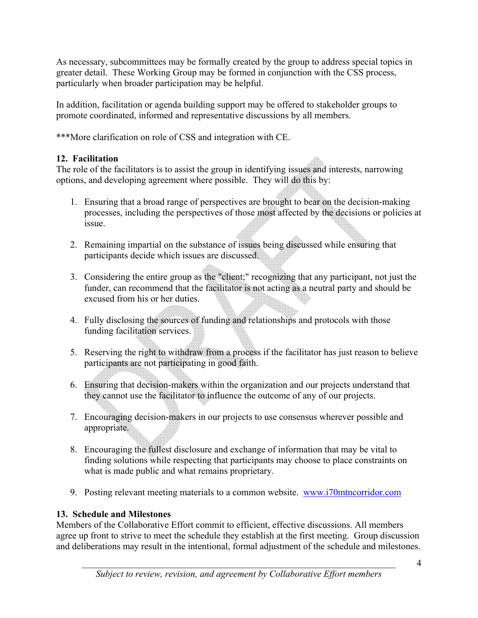As necessary, subcommittees may be formally created by the group to address special topics in greater detail. These Working Group may be formed in conjunction with the CSS process, particularly when broader participation may be helpful.

In addition, facilitation or agenda building support may be offered to stakeholder groups to promote coordinated, informed and representative discussions by all members.

\*\*\*More clarification on role of CSS and integration with CE.

# **12. Facilitation**

The role of the facilitators is to assist the group in identifying issues and interests, narrowing options, and developing agreement where possible. They will do this by:

- 1. Ensuring that a broad range of perspectives are brought to bear on the decision-making processes, including the perspectives of those most affected by the decisions or policies at issue.
- 2. Remaining impartial on the substance of issues being discussed while ensuring that participants decide which issues are discussed.
- 3. Considering the entire group as the "client;" recognizing that any participant, not just the funder, can recommend that the facilitator is not acting as a neutral party and should be excused from his or her duties.
- 4. Fully disclosing the sources of funding and relationships and protocols with those funding facilitation services.
- 5. Reserving the right to withdraw from a process if the facilitator has just reason to believe participants are not participating in good faith.
- 6. Ensuring that decision-makers within the organization and our projects understand that they cannot use the facilitator to influence the outcome of any of our projects.
- 7. Encouraging decision-makers in our projects to use consensus wherever possible and appropriate.
- 8. Encouraging the fullest disclosure and exchange of information that may be vital to finding solutions while respecting that participants may choose to place constraints on what is made public and what remains proprietary.
- 9. Posting relevant meeting materials to a common website. www.i70mtncorridor.com

# **13. Schedule and Milestones**

Members of the Collaborative Effort commit to efficient, effective discussions. All members agree up front to strive to meet the schedule they establish at the first meeting. Group discussion and deliberations may result in the intentional, formal adjustment of the schedule and milestones.